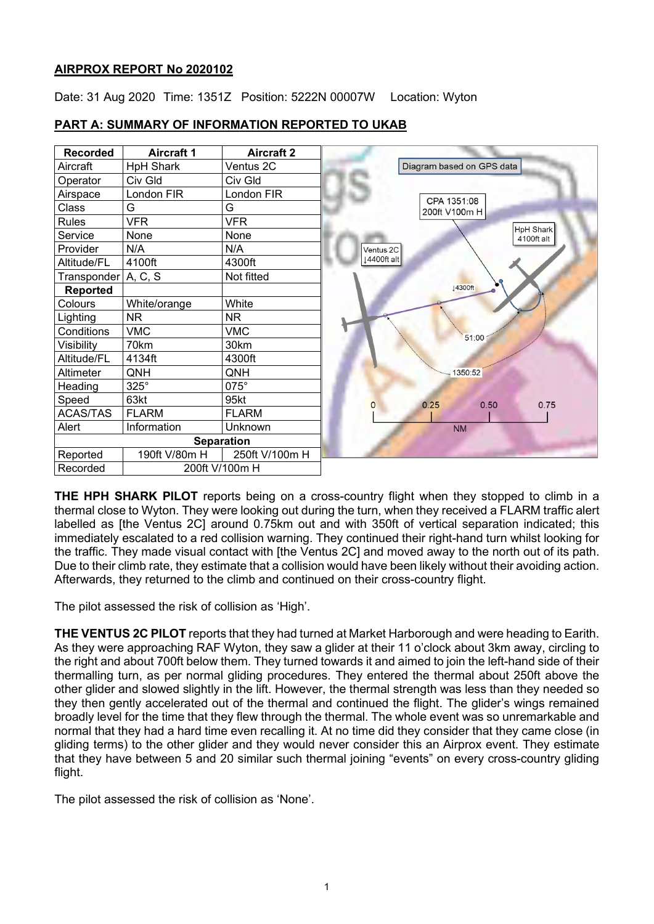# **AIRPROX REPORT No 2020102**

Date: 31 Aug 2020 Time: 1351Z Position: 5222N 00007W Location: Wyton



# **PART A: SUMMARY OF INFORMATION REPORTED TO UKAB**

**THE HPH SHARK PILOT** reports being on a cross-country flight when they stopped to climb in a thermal close to Wyton. They were looking out during the turn, when they received a FLARM traffic alert labelled as [the Ventus 2C] around 0.75km out and with 350ft of vertical separation indicated; this immediately escalated to a red collision warning. They continued their right-hand turn whilst looking for the traffic. They made visual contact with [the Ventus 2C] and moved away to the north out of its path. Due to their climb rate, they estimate that a collision would have been likely without their avoiding action. Afterwards, they returned to the climb and continued on their cross-country flight.

The pilot assessed the risk of collision as 'High'.

**THE VENTUS 2C PILOT** reports that they had turned at Market Harborough and were heading to Earith. As they were approaching RAF Wyton, they saw a glider at their 11 o'clock about 3km away, circling to the right and about 700ft below them. They turned towards it and aimed to join the left-hand side of their thermalling turn, as per normal gliding procedures. They entered the thermal about 250ft above the other glider and slowed slightly in the lift. However, the thermal strength was less than they needed so they then gently accelerated out of the thermal and continued the flight. The glider's wings remained broadly level for the time that they flew through the thermal. The whole event was so unremarkable and normal that they had a hard time even recalling it. At no time did they consider that they came close (in gliding terms) to the other glider and they would never consider this an Airprox event. They estimate that they have between 5 and 20 similar such thermal joining "events" on every cross-country gliding flight.

The pilot assessed the risk of collision as 'None'.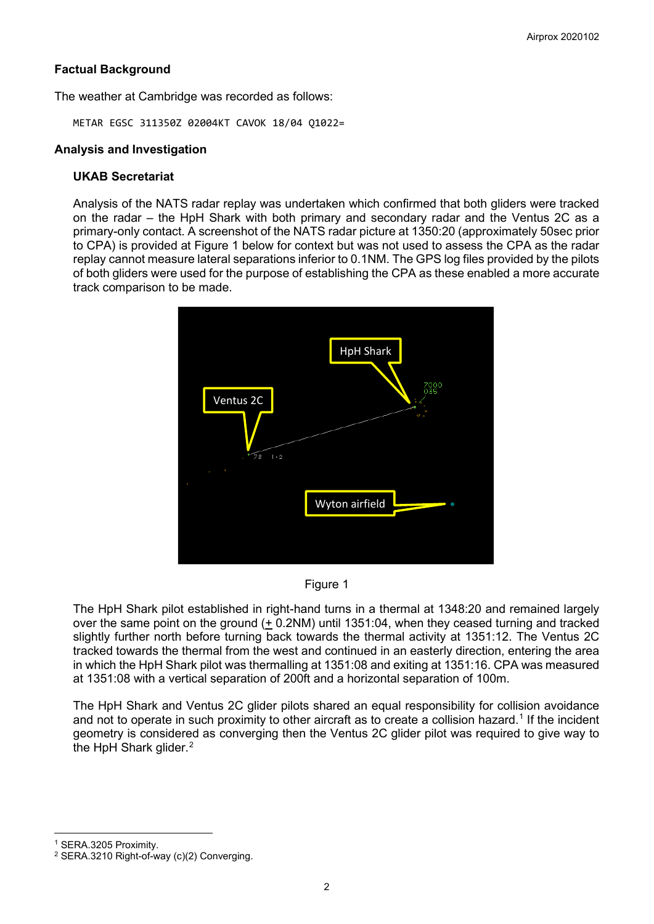# **Factual Background**

The weather at Cambridge was recorded as follows:

METAR EGSC 311350Z 02004KT CAVOK 18/04 Q1022=

#### **Analysis and Investigation**

#### **UKAB Secretariat**

Analysis of the NATS radar replay was undertaken which confirmed that both gliders were tracked on the radar – the HpH Shark with both primary and secondary radar and the Ventus 2C as a primary-only contact. A screenshot of the NATS radar picture at 1350:20 (approximately 50sec prior to CPA) is provided at Figure 1 below for context but was not used to assess the CPA as the radar replay cannot measure lateral separations inferior to 0.1NM. The GPS log files provided by the pilots of both gliders were used for the purpose of establishing the CPA as these enabled a more accurate track comparison to be made.





The HpH Shark pilot established in right-hand turns in a thermal at 1348:20 and remained largely over the same point on the ground  $(+ 0.2$ NM) until 1351:04, when they ceased turning and tracked slightly further north before turning back towards the thermal activity at 1351:12. The Ventus 2C tracked towards the thermal from the west and continued in an easterly direction, entering the area in which the HpH Shark pilot was thermalling at 1351:08 and exiting at 1351:16. CPA was measured at 1351:08 with a vertical separation of 200ft and a horizontal separation of 100m.

The HpH Shark and Ventus 2C glider pilots shared an equal responsibility for collision avoidance and not to operate in such proximity to other aircraft as to create a collision hazard. [1](#page-1-0) If the incident geometry is considered as converging then the Ventus 2C glider pilot was required to give way to the HpH Shark glider.<sup>[2](#page-1-1)</sup>

<span id="page-1-0"></span><sup>1</sup> SERA.3205 Proximity.

<span id="page-1-1"></span><sup>&</sup>lt;sup>2</sup> SERA.3210 Right-of-way (c)(2) Converging.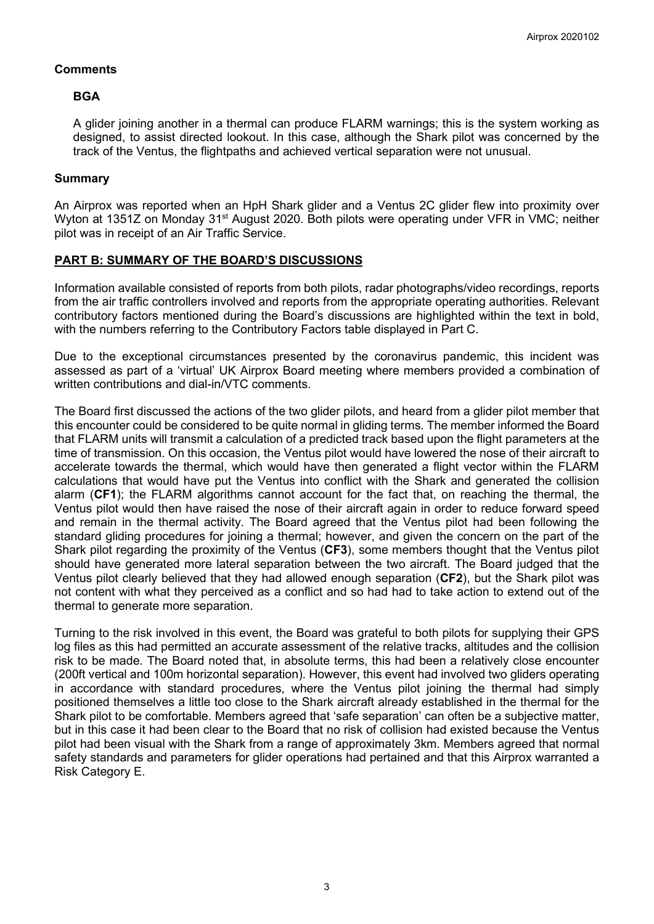# **Comments**

#### **BGA**

A glider joining another in a thermal can produce FLARM warnings; this is the system working as designed, to assist directed lookout. In this case, although the Shark pilot was concerned by the track of the Ventus, the flightpaths and achieved vertical separation were not unusual.

#### **Summary**

An Airprox was reported when an HpH Shark glider and a Ventus 2C glider flew into proximity over Wyton at 1351Z on Monday 31<sup>st</sup> August 2020. Both pilots were operating under VFR in VMC; neither pilot was in receipt of an Air Traffic Service.

# **PART B: SUMMARY OF THE BOARD'S DISCUSSIONS**

Information available consisted of reports from both pilots, radar photographs/video recordings, reports from the air traffic controllers involved and reports from the appropriate operating authorities. Relevant contributory factors mentioned during the Board's discussions are highlighted within the text in bold, with the numbers referring to the Contributory Factors table displayed in Part C.

Due to the exceptional circumstances presented by the coronavirus pandemic, this incident was assessed as part of a 'virtual' UK Airprox Board meeting where members provided a combination of written contributions and dial-in/VTC comments.

The Board first discussed the actions of the two glider pilots, and heard from a glider pilot member that this encounter could be considered to be quite normal in gliding terms. The member informed the Board that FLARM units will transmit a calculation of a predicted track based upon the flight parameters at the time of transmission. On this occasion, the Ventus pilot would have lowered the nose of their aircraft to accelerate towards the thermal, which would have then generated a flight vector within the FLARM calculations that would have put the Ventus into conflict with the Shark and generated the collision alarm (**CF1**); the FLARM algorithms cannot account for the fact that, on reaching the thermal, the Ventus pilot would then have raised the nose of their aircraft again in order to reduce forward speed and remain in the thermal activity. The Board agreed that the Ventus pilot had been following the standard gliding procedures for joining a thermal; however, and given the concern on the part of the Shark pilot regarding the proximity of the Ventus (**CF3**), some members thought that the Ventus pilot should have generated more lateral separation between the two aircraft. The Board judged that the Ventus pilot clearly believed that they had allowed enough separation (**CF2**), but the Shark pilot was not content with what they perceived as a conflict and so had had to take action to extend out of the thermal to generate more separation.

Turning to the risk involved in this event, the Board was grateful to both pilots for supplying their GPS log files as this had permitted an accurate assessment of the relative tracks, altitudes and the collision risk to be made. The Board noted that, in absolute terms, this had been a relatively close encounter (200ft vertical and 100m horizontal separation). However, this event had involved two gliders operating in accordance with standard procedures, where the Ventus pilot joining the thermal had simply positioned themselves a little too close to the Shark aircraft already established in the thermal for the Shark pilot to be comfortable. Members agreed that 'safe separation' can often be a subjective matter, but in this case it had been clear to the Board that no risk of collision had existed because the Ventus pilot had been visual with the Shark from a range of approximately 3km. Members agreed that normal safety standards and parameters for glider operations had pertained and that this Airprox warranted a Risk Category E.